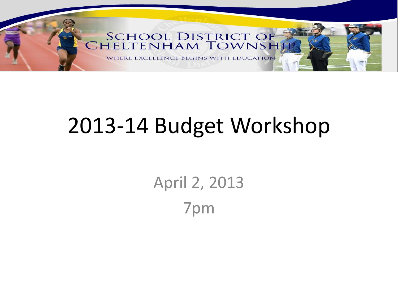

### 2013-14 Budget Workshop

April 2, 2013 7pm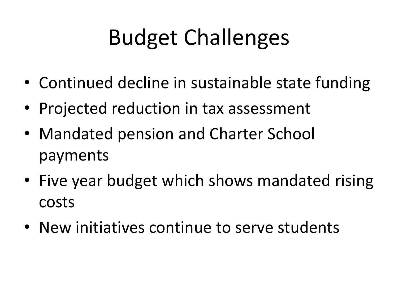# Budget Challenges

- Continued decline in sustainable state funding
- Projected reduction in tax assessment
- Mandated pension and Charter School payments
- Five year budget which shows mandated rising costs
- New initiatives continue to serve students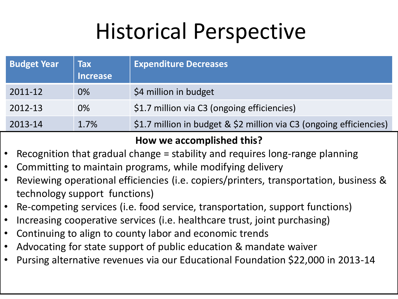## Historical Perspective

| <b>Budget Year</b> | <b>Tax</b><br><b>Increase</b> | <b>Expenditure Decreases</b>                                        |
|--------------------|-------------------------------|---------------------------------------------------------------------|
| 2011-12            | 0%                            | \$4 million in budget                                               |
| 2012-13            | $0\%$                         | \$1.7 million via C3 (ongoing efficiencies)                         |
| 2013-14            | 1.7%                          | \$1.7 million in budget & \$2 million via C3 (ongoing efficiencies) |

#### **How we accomplished this?**

- Recognition that gradual change = stability and requires long-range planning
- Committing to maintain programs, while modifying delivery
- Reviewing operational efficiencies (i.e. copiers/printers, transportation, business & technology support functions)
- Re-competing services (i.e. food service, transportation, support functions)
- Increasing cooperative services (i.e. healthcare trust, joint purchasing)
- Continuing to align to county labor and economic trends
- Advocating for state support of public education & mandate waiver
- Pursing alternative revenues via our Educational Foundation \$22,000 in 2013-14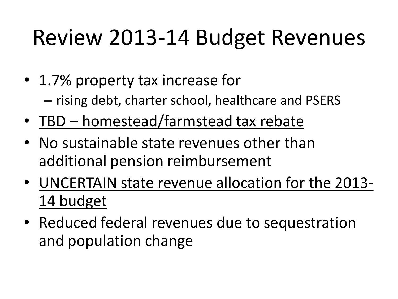## Review 2013-14 Budget Revenues

- 1.7% property tax increase for – rising debt, charter school, healthcare and PSERS
- TBD homestead/farmstead tax rebate
- No sustainable state revenues other than additional pension reimbursement
- UNCERTAIN state revenue allocation for the 2013- 14 budget
- Reduced federal revenues due to sequestration and population change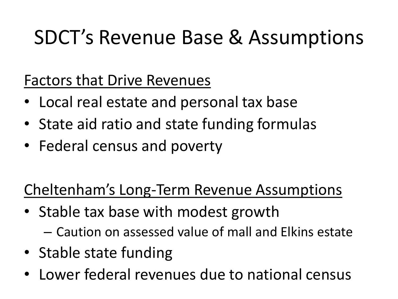#### SDCT's Revenue Base & Assumptions

#### Factors that Drive Revenues

- Local real estate and personal tax base
- State aid ratio and state funding formulas
- Federal census and poverty

#### Cheltenham's Long-Term Revenue Assumptions

- Stable tax base with modest growth – Caution on assessed value of mall and Elkins estate
- Stable state funding
- Lower federal revenues due to national census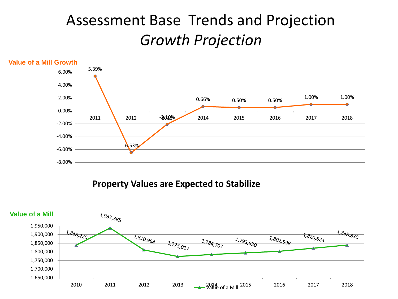#### Assessment Base Trends and Projection *Growth Projection*



**Property Values are Expected to Stabilize**

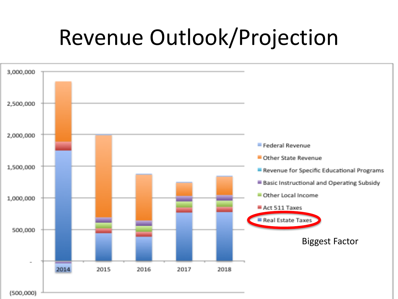## Revenue Outlook/Projection

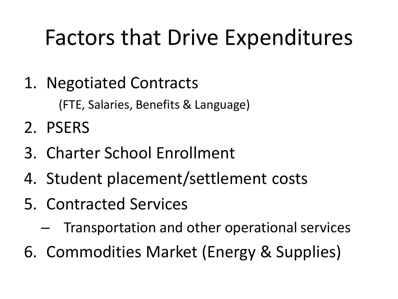## Factors that Drive Expenditures

1. Negotiated Contracts

(FTE, Salaries, Benefits & Language)

- 2. PSERS
- 3. Charter School Enrollment
- 4. Student placement/settlement costs
- 5. Contracted Services
	- Transportation and other operational services
- 6. Commodities Market (Energy & Supplies)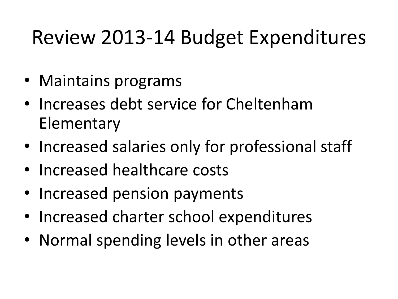#### Review 2013-14 Budget Expenditures

- Maintains programs
- Increases debt service for Cheltenham **Elementary**
- Increased salaries only for professional staff
- Increased healthcare costs
- Increased pension payments
- Increased charter school expenditures
- Normal spending levels in other areas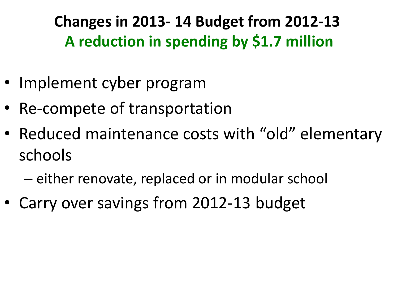**Changes in 2013- 14 Budget from 2012-13 A reduction in spending by \$1.7 million**

- Implement cyber program
- Re-compete of transportation
- Reduced maintenance costs with "old" elementary schools
	- either renovate, replaced or in modular school
- Carry over savings from 2012-13 budget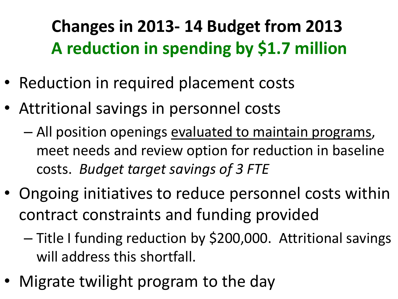#### **Changes in 2013- 14 Budget from 2013 A reduction in spending by \$1.7 million**

- Reduction in required placement costs
- Attritional savings in personnel costs
	- All position openings evaluated to maintain programs, meet needs and review option for reduction in baseline costs. *Budget target savings of 3 FTE*
- Ongoing initiatives to reduce personnel costs within contract constraints and funding provided
	- Title I funding reduction by \$200,000. Attritional savings will address this shortfall.
- Migrate twilight program to the day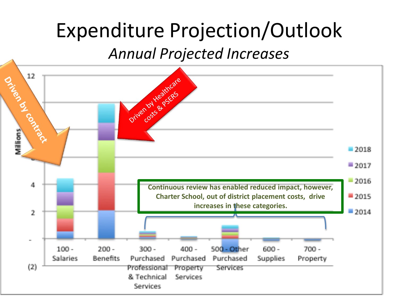#### Expenditure Projection/Outlook

*Annual Projected Increases*

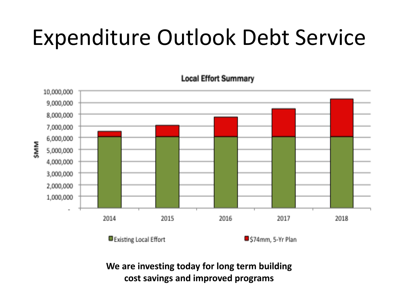## Expenditure Outlook Debt Service



**Local Effort Summary** 

**We are investing today for long term building cost savings and improved programs**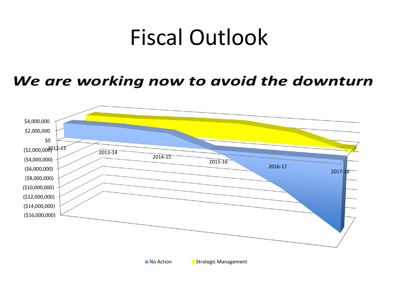### Fiscal Outlook

#### We are working now to avoid the downturn

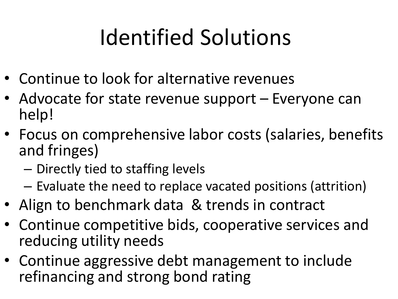# Identified Solutions

- Continue to look for alternative revenues
- Advocate for state revenue support Everyone can help!
- Focus on comprehensive labor costs (salaries, benefits and fringes)
	- Directly tied to staffing levels
	- Evaluate the need to replace vacated positions (attrition)
- Align to benchmark data & trends in contract
- Continue competitive bids, cooperative services and reducing utility needs
- Continue aggressive debt management to include refinancing and strong bond rating